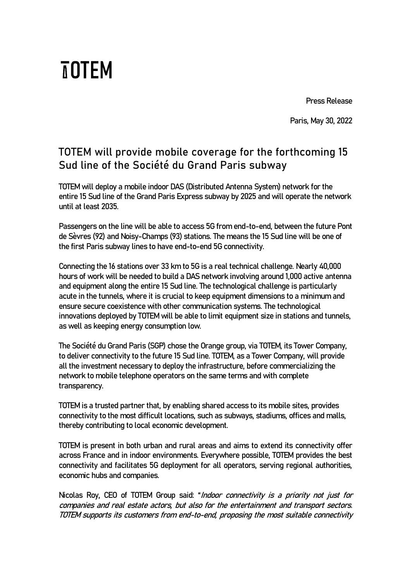Press Release

Paris, May 30, 2022

## **TOTEM will provide mobile coverage for the forthcoming 15 Sud line of the Société du Grand Paris subway**

**TOTEM** 

TOTEM will deploy a mobile indoor DAS (Distributed Antenna System) network for the entire 15 Sud line of the Grand Paris Express subway by 2025 and will operate the network until at least 2035.

Passengers on the line will be able to access 5G from end-to-end, between the future Pont de Sèvres (92) and Noisy-Champs (93) stations. The means the 15 Sud line will be one of the first Paris subway lines to have end-to-end 5G connectivity.

Connecting the 16 stations over 33 km to 5G is a real technical challenge. Nearly 40,000 hours of work will be needed to build a DAS network involving around 1,000 active antenna and equipment along the entire 15 Sud line. The technological challenge is particularly acute in the tunnels, where it is crucial to keep equipment dimensions to a minimum and ensure secure coexistence with other communication systems. The technological innovations deployed by TOTEM will be able to limit equipment size in stations and tunnels, as well as keeping energy consumption low.

The Société du Grand Paris (SGP) chose the Orange group, via TOTEM, its Tower Company, to deliver connectivity to the future 15 Sud line. TOTEM, as a Tower Company, will provide all the investment necessary to deploy the infrastructure, before commercializing the network to mobile telephone operators on the same terms and with complete transparency.

TOTEM is a trusted partner that, by enabling shared access to its mobile sites, provides connectivity to the most difficult locations, such as subways, stadiums, offices and malls, thereby contributing to local economic development.

TOTEM is present in both urban and rural areas and aims to extend its connectivity offer across France and in indoor environments. Everywhere possible, TOTEM provides the best connectivity and facilitates 5G deployment for all operators, serving regional authorities, economic hubs and companies.

Nicolas Roy, CEO of TOTEM Group said: "Indoor connectivity is a priority not just for companies and real estate actors, but also for the entertainment and transport sectors. TOTEM supports its customers from end-to-end, proposing the most suitable connectivity